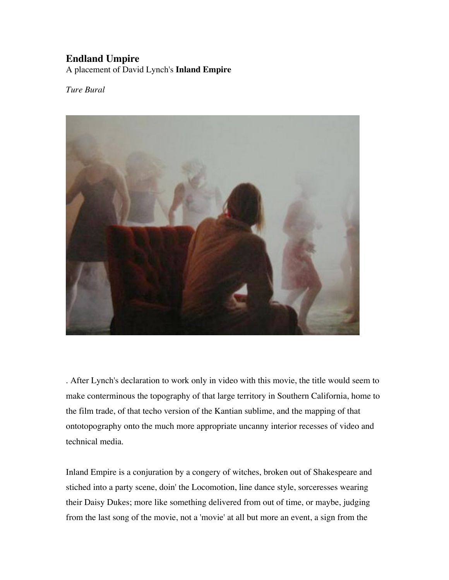## **Endland Umpire**

A placement of David Lynch's **Inland Empire**

*Ture Bural*



. After Lynch's declaration to work only in video with this movie, the title would seem to make conterminous the topography of that large territory in Southern California, home to the film trade, of that techo version of the Kantian sublime, and the mapping of that ontotopography onto the much more appropriate uncanny interior recesses of video and technical media.

Inland Empire is a conjuration by a congery of witches, broken out of Shakespeare and stiched into a party scene, doin' the Locomotion, line dance style, sorceresses wearing their Daisy Dukes; more like something delivered from out of time, or maybe, judging from the last song of the movie, not a 'movie' at all but more an event, a sign from the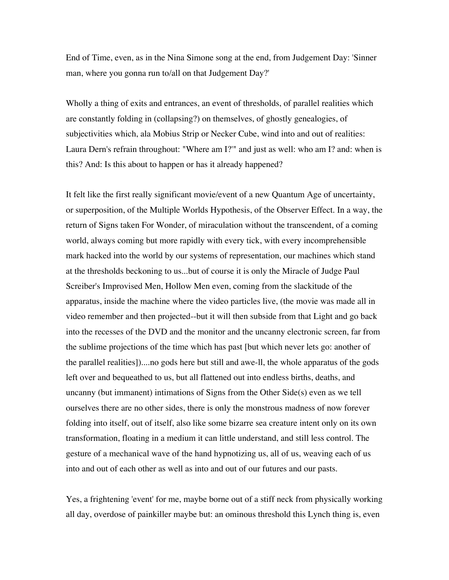End of Time, even, as in the Nina Simone song at the end, from Judgement Day: 'Sinner man, where you gonna run to/all on that Judgement Day?'

Wholly a thing of exits and entrances, an event of thresholds, of parallel realities which are constantly folding in (collapsing?) on themselves, of ghostly genealogies, of subjectivities which, ala Mobius Strip or Necker Cube, wind into and out of realities: Laura Dern's refrain throughout: "Where am I?'" and just as well: who am I? and: when is this? And: Is this about to happen or has it already happened?

It felt like the first really significant movie/event of a new Quantum Age of uncertainty, or superposition, of the Multiple Worlds Hypothesis, of the Observer Effect. In a way, the return of Signs taken For Wonder, of miraculation without the transcendent, of a coming world, always coming but more rapidly with every tick, with every incomprehensible mark hacked into the world by our systems of representation, our machines which stand at the thresholds beckoning to us...but of course it is only the Miracle of Judge Paul Screiber's Improvised Men, Hollow Men even, coming from the slackitude of the apparatus, inside the machine where the video particles live, (the movie was made all in video remember and then projected--but it will then subside from that Light and go back into the recesses of the DVD and the monitor and the uncanny electronic screen, far from the sublime projections of the time which has past [but which never lets go: another of the parallel realities])....no gods here but still and awe-ll, the whole apparatus of the gods left over and bequeathed to us, but all flattened out into endless births, deaths, and uncanny (but immanent) intimations of Signs from the Other Side(s) even as we tell ourselves there are no other sides, there is only the monstrous madness of now forever folding into itself, out of itself, also like some bizarre sea creature intent only on its own transformation, floating in a medium it can little understand, and still less control. The gesture of a mechanical wave of the hand hypnotizing us, all of us, weaving each of us into and out of each other as well as into and out of our futures and our pasts.

Yes, a frightening 'event' for me, maybe borne out of a stiff neck from physically working all day, overdose of painkiller maybe but: an ominous threshold this Lynch thing is, even